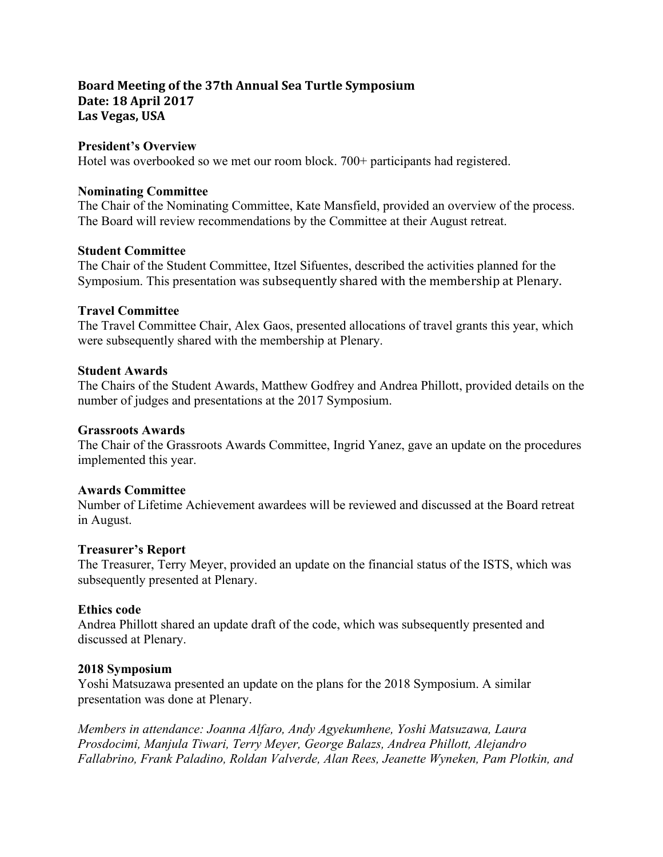# **Board Meeting of the 37th Annual Sea Turtle Symposium Date: 18 April 2017** Las Vegas, USA

## **President's Overview**

Hotel was overbooked so we met our room block. 700+ participants had registered.

## **Nominating Committee**

The Chair of the Nominating Committee, Kate Mansfield, provided an overview of the process. The Board will review recommendations by the Committee at their August retreat.

## **Student Committee**

The Chair of the Student Committee, Itzel Sifuentes, described the activities planned for the Symposium. This presentation was subsequently shared with the membership at Plenary.

## **Travel Committee**

The Travel Committee Chair, Alex Gaos, presented allocations of travel grants this year, which were subsequently shared with the membership at Plenary.

## **Student Awards**

The Chairs of the Student Awards, Matthew Godfrey and Andrea Phillott, provided details on the number of judges and presentations at the 2017 Symposium.

### **Grassroots Awards**

The Chair of the Grassroots Awards Committee, Ingrid Yanez, gave an update on the procedures implemented this year.

# **Awards Committee**

Number of Lifetime Achievement awardees will be reviewed and discussed at the Board retreat in August.

### **Treasurer's Report**

The Treasurer, Terry Meyer, provided an update on the financial status of the ISTS, which was subsequently presented at Plenary.

# **Ethics code**

Andrea Phillott shared an update draft of the code, which was subsequently presented and discussed at Plenary.

### **2018 Symposium**

Yoshi Matsuzawa presented an update on the plans for the 2018 Symposium. A similar presentation was done at Plenary.

*Members in attendance: Joanna Alfaro, Andy Agyekumhene, Yoshi Matsuzawa, Laura Prosdocimi, Manjula Tiwari, Terry Meyer, George Balazs, Andrea Phillott, Alejandro Fallabrino, Frank Paladino, Roldan Valverde, Alan Rees, Jeanette Wyneken, Pam Plotkin, and*